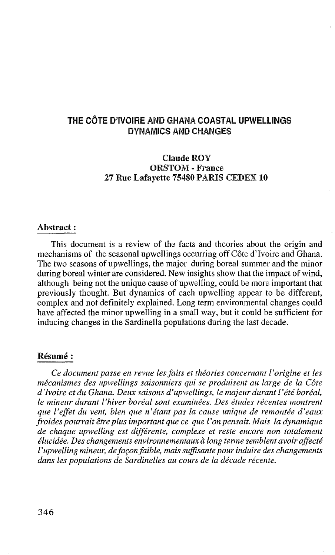# THE CÔTE D'IVOIRE AND GHANA COASTAL UPWELLINGS **DYNAMICS AND CHANGES**

## **Claude ROY ORSTOM** - France 27 Rue Lafayette 75480 PARIS CEDEX 10

#### **Abstract** :

This document is a review of the facts and theories about the origin and mechanisms of the seasonal upwellings occurring off C6te d'Ivoire and Ghana. The two seasons of upwellings, the major during boreal summer and the minor during boreal winter are considered. New insights show that the impact of wind, although being not the unique cause of upwelling, could be more important that previously thought. But dynamics of each upwelling appear to be different, complex and not definitely explained. Long term environmental changes could have affected the minor upwelling in a small way, but it could be sufficient for inducing changes in the Sardinella populations during the last decade.

### **CsumC** :

*Ce document passe en revue les faits et théories concernant l'origine et les mécanismes des upwellings saisonniers qui se produisent au large de la Côte d'Ivoire et du Ghana. Deux saisons d'upwellings, le majeur durant 1 'kté boréal,*  le mineur durant l'hiver boréal sont examinées. Des études récentes montrent que l'effet du vent, bien que n'étant pas la cause unique de remontée d'eaux *froides pourrait &tre plus important que ce que l'on pensait. Mais la dynamique de chaque upwelling est différente, complexe et reste encore non totalement éllucidée. Des changements environnementaux ci long terme semblent avoir affecté l'upwelling mineur, de façon faible, mais suffisante pour induire des changements* dans les populations de Sardinelles au cours de la décade récente.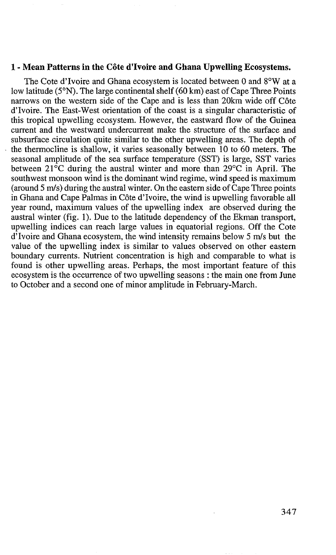### **1** - **Mean Patterns in the Côte d'Ivoire and Ghana Upwelling Ecosystems.**

The Cote d'Ivoire and Ghana ecosystem is located between O and 8"W at a low latitude (5°N). The large continental shelf (60 km) east of Cape Three Points narrows on the western side of the Cape and is less than 20km wide off Côte d'Ivoire. The East-West orientation of the Coast is a singular characteristic of this tropical upwelling ecosystem. However, the eastward flow of the Guinea current and the westward undercurrent make the structure of the surface and subsurface circulation quite similar to the other upwelling areas. The depth of the thermocline is shallow, it varies seasonally between 10 to 60 meters. The seasonal amplitude of the sea surface temperature **(SST)** is large, SST varies between 21°C during the austral winter and more than 29°C in April. The southwest monsoon wind is the dominant wind regime, wind speed is maximum (around 5 m/s) during the austral winter. On the eastern side of Cape Three points in Ghana and Cape Palmas in Côte d'Ivoire, the wind is upwelling favorable al1 year round, maximum values of the upwelling index are observed during the austral winter (fig. 1). Due to the latitude dependency of the Ekman transport, upwelling indices can reach large values in equatorial regions. Off the Cote d'Ivoire and Ghana ecosystem, the wind intensity remains below *5 m/s* but the value of the upwelling index is similar to values observed on other eastern boundary currents. Nutrient concentration is high and comparable to what is found is other upwelling areas. Perhaps, the most important feature of this ecosystem is the occurrence of two upwelling seasons : the main one from June to October and a second one of minor amplitude in February-March.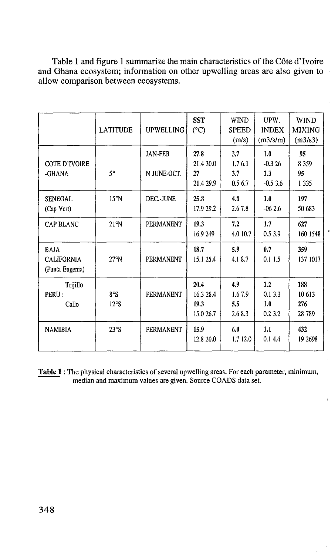|                                                                             |                                      | Table 1 and figure 1 summarize the main characteristics of the Côte d'Ivoire |                   |                       |                          |                          |
|-----------------------------------------------------------------------------|--------------------------------------|------------------------------------------------------------------------------|-------------------|-----------------------|--------------------------|--------------------------|
|                                                                             |                                      |                                                                              |                   |                       |                          |                          |
|                                                                             |                                      |                                                                              |                   |                       |                          |                          |
|                                                                             |                                      |                                                                              |                   |                       |                          |                          |
| and Ghana ecosystem; information on other upwelling areas are also given to |                                      |                                                                              |                   |                       |                          |                          |
|                                                                             |                                      |                                                                              |                   |                       |                          |                          |
|                                                                             |                                      |                                                                              |                   |                       |                          |                          |
|                                                                             |                                      |                                                                              |                   |                       |                          |                          |
|                                                                             | allow comparison between ecosystems. |                                                                              |                   |                       |                          |                          |
|                                                                             |                                      |                                                                              |                   |                       |                          |                          |
|                                                                             |                                      |                                                                              | <b>SST</b>        | <b>WIND</b>           | UPW.                     | <b>WIND</b>              |
|                                                                             | <b>LATITUDE</b>                      | <b>UPWELLING</b>                                                             | $(^{\circ}C)$     | <b>SPEED</b><br>(m/s) | <b>INDEX</b><br>(m3/s/m) | <b>MIXING</b><br>(m3/s3) |
|                                                                             |                                      | JAN-FEB                                                                      | 27.8              | 3.7                   | 1.0                      | 95                       |
| <b>COTE D'IVOIRE</b>                                                        |                                      |                                                                              | 21.4 30.0<br>27   | 1.7 6.1               | $-0.326$<br>1.3          | 8 3 5 9<br>95            |
| -GHANA                                                                      | $5^\circ$                            | N JUNE-OCT.                                                                  | 21.4 29.9         | 3,7<br>0.56.7         | $-0.53.6$                | 1 3 3 5                  |
| SENEGAL                                                                     | $15^{\circ}$ N                       | DEC.-JUNE                                                                    | 25.8              | 4.8                   | 1.0                      | 197                      |
| (Cap Vert)                                                                  | $21^{\circ}N$                        |                                                                              | 17.9 29.2         | 2.6 7.8               | $-062.6$                 | 50 683                   |
|                                                                             |                                      | PERMANENT                                                                    | 19.3              | 7.2<br>4.0 10.7       | 1.7<br>0.53.9            | 627<br>160 1548          |
|                                                                             |                                      |                                                                              | 16.9 249          |                       |                          |                          |
|                                                                             |                                      |                                                                              | 18.7              | 5.9                   | 0.7                      | 359                      |
| CAP BLANC<br><b>BAJA</b><br>CALIFORNIA<br>(Punta Eugenia)                   | $27^{\circ}N$                        | PERMANENT                                                                    | 15.1 25.4         | 4.18.7                | 0.11.5                   | 137 1017                 |
| Trijillo                                                                    |                                      |                                                                              | 20.4              | 4.9                   | 1.2                      | 188                      |
|                                                                             | 8°S                                  | PERMANENT                                                                    | 16.3 28.4         | 1.67.9                | 0.13.3                   | 10 613                   |
| PERU:<br>Callo                                                              | 12°S                                 |                                                                              | 19.3<br>15.0 26.7 | 5.5<br>2.6 8.3        | $1.0\,$<br>0.23.2        | 276<br>28 789            |
| <b>NAMIBIA</b>                                                              | 23°S                                 | PERMANENT                                                                    | 15.9<br>12.8 20.0 | $6.0\,$<br>1.7 12.0   | 1.1<br>0.14.4            | 432<br>19 2698           |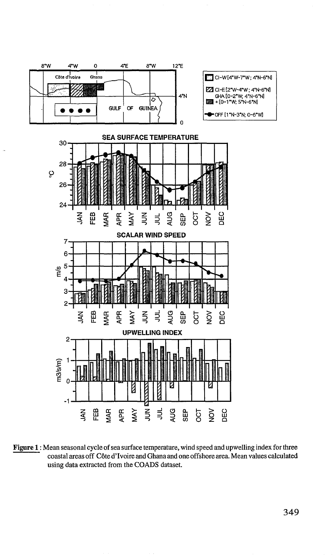

**Figure 1** : Mean seasonal cycle of sea surface temperature, wind speed and upwelling index for three coastal areas off Côte d'Ivoire and Ghana and one offshore area. Mean values calculated using data extracted from the COADS dataset.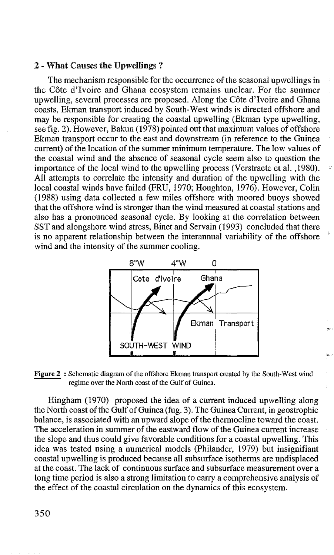### **2** - What Causes the Upwellings?

The mechanism responsible for the occurrence of the seasonal upwellings in the Côte d'Ivoire and Ghana ecosystem remains unclear. For the summer upwelling, several processes are proposed. Along the C6te d'Ivoire and Ghana coasts, Eltman transport induced by South-West winds is directed offshore and may be responsible for creating the coastal upwelling (Ekman type upwelling, see fig. 2). However, Bakun (1978) pointed out that maximum values of offshore Ekman transport occur to the east and downstream (in reference to the Guinea current) of the location of the summer minimum temperature. The low values of the coastal wind and the absence of seasonal cycle seem also to question the importance of the local wind to the upwelling process (Verstraete et al., 1980). Al1 attempts to correlate the intensity and duration of the upwelling with the local coastal winds have failed (FRU, 1970; Houghton, 1976). However, Colin (1988) using data collected a few miles offshore with moored buoys showed that the offshore wind is stronger than the wind measured at coastal stations and also has a pronounced seasonal cycle. By looking at the correlation between SST and alongshore wind stress, Binet and Servain (1993) concluded that there is no apparent relationship between the interannual variability of the offshore wind and the intensity of the summer cooling.



**Figure 2** : Schematic diagram of the offshore Ekman transport created by the South-West wind regime **over** the North Coast of the Gulf of Guinea.

Hingham (1970) proposed the idea of a current induced upwelling along the North Coast of the Gulf of Guinea (fug. **3).** The Guinea Current, in geostrophic balance, is associated with an upward slope of the thermocline toward the coast. The acceleration in summer of the eastward flow of the Guinea current increase the slope and thus could give favorable conditions for a coastal upwelling. This idea was tested using a numerical models (Philander, 1979) but insignifiant coastal upwelling is produced becawe al1 subsurface isotherms are undisplaced at the Coast. The lack of continuous surface and subsurface measurement over a long time period is also a strong limitation to carry a comprehensive analysis of the effect of the coastal circulation on the dynamics of this ecosystem.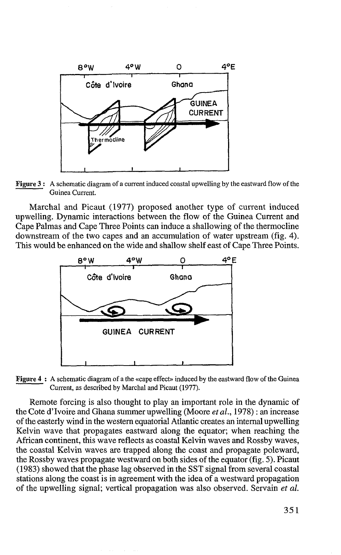

**Figure 3** : **A** schematic diagram of a current induced coastal upwelling by the eastward flow of the Guinea Current.

Marchal and Picaut (1977) proposed another type of current induced upwelling. Dynamic interactions between the flow of the Guinea Current and Cape Palmas and Cape Three Points can induce ashallowing of the thermocline downstream of the two capes and an accumulation of water upstream (fig. **4).**  This would be enhanced on the wide and shallow shelf east of Cape Three Points.



**Figure 4:** A schematic diagram of a the «cape effect» induced by the eastward flow of the Guinea Current, as described by Marchal and Picaut **(1977).** 

Remote forcing is also thought to play an important role in the dynamic of the Cote d'Ivoire and Ghana summer upwelling (Moore *et al.,* 1978) : an increase of the easterly wind in the western equatorial Atlantic creates an interna1 upwelling Kelvin wave that propagates eastward along the equator; when reaching the African continent, this wave reflects as coastal Kelvin waves and Rossby waves, the coastal Kelvin waves are trapped along the Coast and propagate poleward, the Rossby waves propagate westward on both sides of the equator (fig. *5).* Picaut (1983) showed that the phase lag observed in the SST signal from several coastal stations along the Coast is in agreement with the idea of a westward propagation of the upwelling signal; vertical propagation was also observed. Servain *et al.*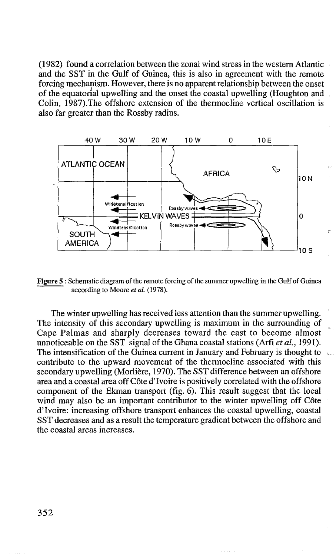**(1** 982) found a cornrelation between the zona1 wind stress in the western Atlantic and the SST in the Gulf of Guinea, this is also in agreement with the remote forcing mechanism. However, there is no apparent relationship between the onset of the equatorial upwelling and the onset the coastal upwelling (Houghton and Colin, 1987).The offshore extension of the thermocline vertical oscillation is also far greater than the Rossby radius.



**Figure 5** : Schematic diagram of the remote forcing of the summer upwelling in the Gulf of Guinea according to Moore et al. (1978).

The winter upwelling has received less attention than the summer upwelling. The intensity of this secondary upwelling **is** maximum in the surrounding of Cape Palmas and sharply decreases toward the east to become almost ' unnoticeable on the SST signal of the Ghana coastal stations (Arfi *et al.,* 1991). The intensification of the Guinea current in January and February is thought to contribute to the upward movement of the thermocline associated with this secondary upwelling (Morlière, 1970). The **SST** difference between an offshore area and a coastal area off Côte d'Ivoire is positively correlated with the offshore component of the Ekman transport (fig.  $6$ ). This result suggest that the local wind may also he an important contributor **to** the winter upwelling off Côte d'Ivoire: increasing offshore transport enhmces the coastal upwelling, coastal **SST** decreases and as a result the temperature gradient between the offshore and the coastal areas increases.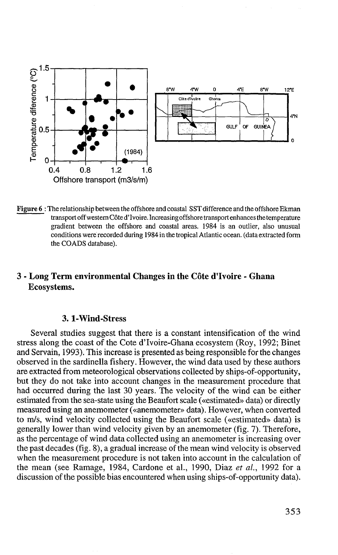

**Figure** *6* : The relationship between the offshore and coastal SST difference and the offshore Ekman transport off western Côted'Ivoire. Increasingoffshore transport enhances the temperature gradient between the offshore and coastal areas. 1984 is an outlier, also unusual conditions were recorded during 1984 in the tropical Atlantic ocean. (data extracted form the COADS database).

## **3** - **Long Term environmental Changes in the Côte d'Ivoire** - **Ghana Ecosystems.**

### **3.1-Wind-Stress**

Several studies suggest that there is a constant intensification of the wind stress along the Coast of the Cote d'Ivoire-Ghana ecosystem (Roy, 1992; Binet and Servain, 1993). This increase is presented as being responsible for the changes observed in the sardinella fishery. However, the wind data used by these authors are extracted from meteorological observations collected by ships-of-opportunity, but they do not take into account changes in the measurement procedure that had occurred during the last 30 years. The velocity of the wind can be either estimated from the sea-state using the Beaufort scale («estimated» data) or directly measured using an anemometer («anemometer» data). However, when converted to m/s, wind velocity collected using the Beaufort scale («estimated» data) is generally lower than wind velocity given by an anemometer (fig. 7). Therefore, as the percentage of wind data collected using an anemometer is increasing over the past decades (fig. **S),** a gradua1 increase of the mean wind velocity is observed when the measurement procedure is not taken into account in the calculation of the mean (see Ramage, 1984, Cardone et al., 1990, Diaz *et al.*, 1992 for a discussion of the possible bias encountered when using ships-of-opportunity data).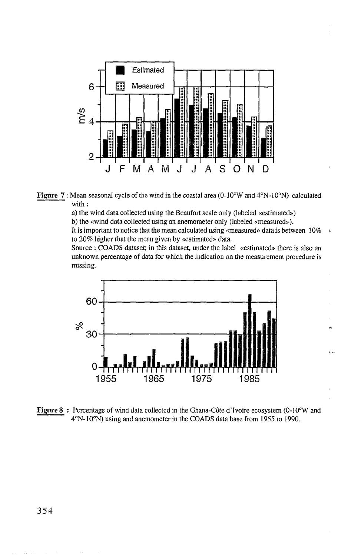



a) the wind data collected using the Beaufort scale only (labeled «estimated»)

b) the «wind data collected using an anemometer only (labeled «measured»).

It is important to notice that the mean calculated using «measured» data is between 10% to 20% higher that the mean given by «estimated» data.

Source : COADS dataset; in this dataset, under the label «estimated» there is also an unknown percentage of data for which the indication **on** the measurement procedure is missing.



**Figure 8** : Percentage of wind data collected in the Ghana-Côte d'Ivoire ecosystem (0-10°W and 4"N-1 O"N) using and anemometer in the **COADS** data base from 1955 to 1990.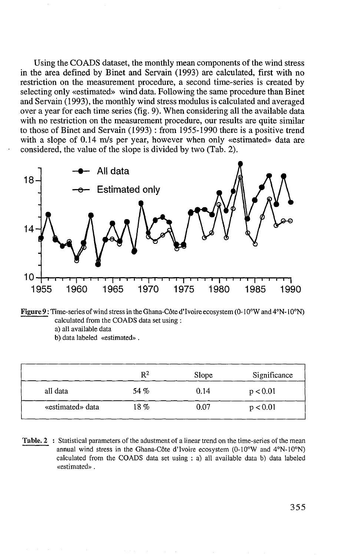Using the COADS dataset, the monthly mean components of the wind stress in the area defined by Binet and Servain (1993) are calculated, first with no restriction on the measurement procedure, a second time-series is created by selecting only «estimated» wind data. Following the same procedure than Binet and Servain (1993), the monthly wind stress modulus icalculated and averaged over a year for each time series (fig. 9). When considering al1 the available data with no restriction on the measurement procedure, our results are quite similar to those of Binet and Servain (1993) : from 1955-1990 there is a positive trend with a slope of 0.14 m/s per year, however when only «estimated» data are considered, the value of the slope is divided by two (Tab. 2).



**Figure 9** : Time-series of wind stress in the Ghana-Côte d'Ivoire ecosystem (O- 1O"W and **4"N-** 10"N) calculated from the COADS data set using :

a) al1 available data

b) data labeled «estimated».

|                  | $R^2$ | Slope | Significance |
|------------------|-------|-------|--------------|
| all data         | 54 %  | 0.14  | p < 0.01     |
| «estimated» data | 18%   | 0.07  | p < 0.01     |

**Table. 2** : Statistical parameters of the adustment of a linear trend on the time-series of the mean annual wind stress in the Ghana-Côte d'Ivoire ecosystem (O-1O"W and **4"N-10"N)**  calculated from the **COADS** data set using : a) al1 available data b) data labeled «estimated».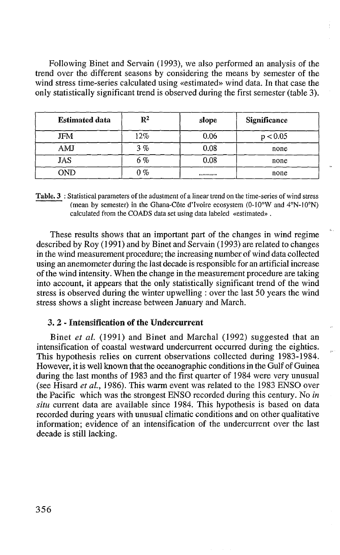Following Binet and Servain (1993), we also performed an analysis of the trend over the different seasons by considering the means by semester of the wind stress time-series calculated using «estimated» wind data. In that case the only statistically significant trend is observed during the first semester (table 3).

| <b>Estimated data</b> | $\mathbb{R}^2$ | slope | Significance |
|-----------------------|----------------|-------|--------------|
| <b>JFM</b>            | 12%            | 0.06  | p < 0.05     |
| AMJ                   | 3%             | 0.08  | none         |
| <b>JAS</b>            | 6%             | 0.08  | none         |
| OND                   | $0\%$          |       | none         |

**Table. 3** : Statistical parameters **of** the adustment of a linear trend on the time-series of wind stress (mean by semester) in the Ghana-Côte d'Ivoire ecosystem (0-10°W and 4°N-10°N) calculated from the COADS data set using data labeled «estimated».

These results shows that an important part of the changes in wind regime described by Roy **(1** 991) and by Binet and Servain **(1** 993) are related *to* changes in the wind measurement procedure; the increasing number of wind data collected using an anemometer during the last decade is responsible for an artificial increase of the wind intensity. When the change in the measurement procedure are taking into account, it appears that the only statistically significant trend of the wind stress **is** observed during the winter upwelling : over the last 50 years the wind stress shows a slight increase between January and March.

## *3.2* - **Intensification of the Undercurrernt**

Binet *et al.* (1991) and Binet and Marchal (1992) suggested that an intensification of coastal westward undercurrent occurred during the eighties. This hypothesis relies on current observations collected during 1983-1984. ' However, it is well known that the oceanographic conditions in the Gulf of Guinea during the last months of 1983 and the first quarter of 1984 were very unusual (see Hisard *et al.*, 1986). This warm event was related to the 1983 ENSO over the Pacific which was the strongest ENS0 recorded during this century. No *in situ* current data are amilable since 1984. This hypothesis is based on data recorded during years with unusual climatic conditions and on other qualitative information; evidence of an intensification of the undercurrent over the last decade is still lacking.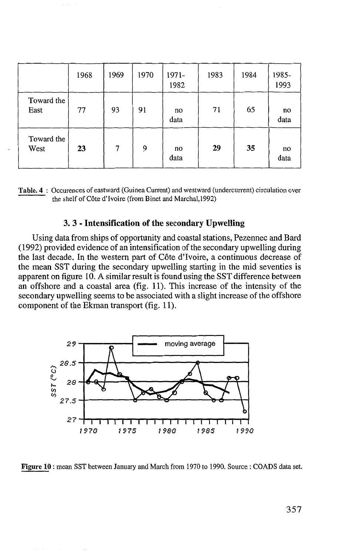|                    | 1968 | 1969 | 1970 | 1971-<br>1982 | 1983 | 1984 | 1985-<br>1993 |
|--------------------|------|------|------|---------------|------|------|---------------|
| Toward the<br>East | 77   | 93   | 91   | no<br>data    | 71   | 65   | no<br>data    |
| Toward the<br>West | 23   | 7    | 9    | no<br>data    | 29   | 35   | no<br>data    |

**Table. 4** : Occurences of eastward (Guinea Curent) and westward (undercurrent) circulation over the shelf of Côte d'Ivoire (from Binet and Marcha1,1992)

### **3.3** - **Intensification of the secondary Upwelling**

Using data from ships of opportunity and coastal stations, Pezennec and Bard (1992) provided evidence of an intensification of the secondary upwelling during the last decade. In the western part of Côte d'Ivoire, a continuous decrease of the mean SST during the secondary upwelling starting in the mid seventies is apparent on figure 10. **A** similar result is found using theSST difference between an offshore and a coastal area (fig. 11). This increase of the intensity of the secondary upwelling seems to be associated with a slight increase of the offshore component of the Ekman transport (fig. 11).



**Figure 10** : mean SST between January and March from 1970 to 1990. Source : **COADS** data set.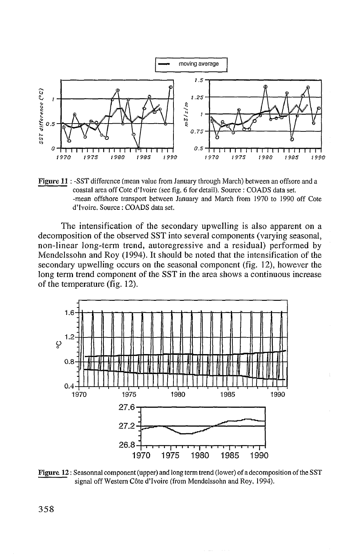

**Figure 11** : -SST difference (mean value from January through March) between an offsore and a coastal area off Cote d'Ivoire (see fig. 6 for detail). Source : COADS data set. -mean offshore transport between January and March from 1970 to 1990 off Cote d'Ivoire. Source : COADS data set.

The intensification of the secondary upwelling is also apparent on a decomposition of the observed SST into several components (varying seasonal, non-linear long-term trend, autoregressive and a residual) performed by Mendelssohn and Roy (1994). It should be noted that the intensification of the secondary upwelling occurs on the seasonal component (fig. I2), however the long term trend component of the **SST** in the area shows a continuous increase of the temperature (fig. 12).



**Figure 12** : Seasonnal component (upper) and long term trend (lower) of a decomposition of the **SST**  signal off Western Côte d'Ivoire (from Mendelssohn and Roy, 1994).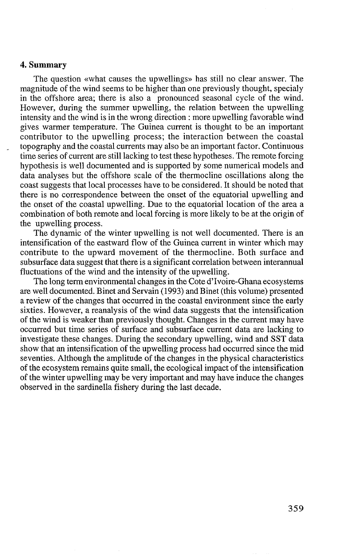#### **4. Summary**

The question «what causes the upwellings» has still no clear answer. The magnitude of the wind seems to be higher than one previously thought, specialy in the offshore area; there is also a pronounced seasonal cycle of the wind. However, during the summer upwelling, the relation between the upwelling intensity and the wind is in the wrong direction : more upwelling favorable wind gives warmer temperature. The Guinea current is thought to be an important contributor to the upwelling process; the interaction between the coastal topography and the coastal currents may also be an important factor. Continuous time series of current are still lacking to test these hypotheses. The remote forcing hypothesis is well documented and is supported by some numerical models and data analyses but the offshore scale of the thermocline oscillations along the Coast suggests that local processes have to be considered. It should be noted that there is no correspondence between the onset of the equatorial upwelling and the onset of the coastal upwelling. Due to the equatorial location of the area a combination of both remote and local forcing is more likely to be atthe origin of the upwelling process.

The dynamic of the winter upwelling is not well documented. There is an intensification of the eastward flow of the Guinea current in winter which may contribute to the upward movement of the thermocline. Both surface and subsurface data suggest that there is a significant correlation between interannual fluctuations of the wind and the intensity of the upwelling.

The long term environmental changes in the Cote d'Ivoire-Ghana ecosystems are well documented. Binet and Servain (1993) and Binet (this volume) presented a review of the changes that occurred in the coastal environment since the early sixties. However, a reanalysis of the wind data suggests that the intensification of the wind is weaker than previously thought. Changes in the current may have occurred but time series of surface and subsurface current data are lacking to investigate these changes. During the secondary upwelling, wind and SST data show that an intensification of the upwelling process had occurred since the mid seventies. Although the amplitude of the changes in the physical characteristics of the ecosystem remains quite small, the ecological impact of the intensification of the winter upwelling may be very important and may have induce the changes observed in the sardinella fishery during the last decade.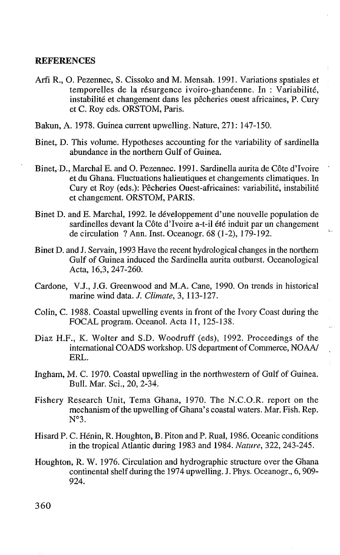### **REFERENCES**

- Arfi R., O. Pezennec, S. Cissoko and **M.** Mensah. 1991. Variations spatiales et temporelles de la résurgence ivoiro-ghanéenne. In : Variabilité, instabilité et changement dans les pêcheries ouest africaines, P. Cury et C. Roy eds. ORSTOM, Paris.
- Bakun, **A.** 1978. Guinea current upwelling. Nature, 271: 147-150.
- Binet, D. This volume. Hypotheses accounting for the variability of sardinella abundance in the northern Gulf of Guinea.
- Binet,.D., Marcha1 E. and O. Pezennec. 1991. Sardinella aurita de Côte d'Ivoire ' et du Ghana. Fluctuations halieutiques et changements climatiques. In Cury et Roy (eds.): Pêcheries Ouest-africaines: variabilité, instabilité et changement. ORSTOM, PARIS.
- Binet D. and E. Marchal, 1992. le développement d'une nouvelle population de sardinelles devant la Côte d'Ivoire a-t-il **ét6** induit par un changement de circulation ? Ann. Inst. Oceanogr. 68 (1-2), 179-192.
- Binet D. and J. Servain, 1993 Have the recent hydrological changes in the northern Gulf of Guinea induced the Sardinella aurita outburst. Oceanological Acta, l6,3,247-260.
- Cardone, V.J., J.G. Greeenwood and **MA.** Cane, 1990. On trends in historical marine wind data. *J. Climnte, 3,* 11 3-127.
- Colin, C. 1988. Coastal upwelling events in front of the Ivory Coast during the FOCAL program. Oceanol. Acta 11, 125-138.
- Diaz H.F., **M.** Wolter and S.D. Woodruff (eds), 1992. Proceedings of the international COADS workshop. US department of Commerce, NOAA/<br>ERL.
- Ingham, **M.** C. 1970. Coastal upwelling in the northwestern of Gulf of Guinea. Bull. Mar. Sei., 20,2-34.
- Fishery Research Unit, Tema Ghana, 1970. The N.C.O.R. report on the mechanism of the upwelling of Ghana's coastal waters. Mar. Fish. Rep. N"3.
- Hisard P. C. Hénin, R. Houghton, B. Piton and P. Rual, 1986. Oceanic conditions in the tropical Atlantic during 1983 and 1984. *Nature,* 322,243-245.
- Houghton, R. W. 1976. Circulation and hydrographic structure over the Ghana continental shelf during the 1974 upwelling. **J.** Phys. Oceanogr., 6,909- 924.

*360*